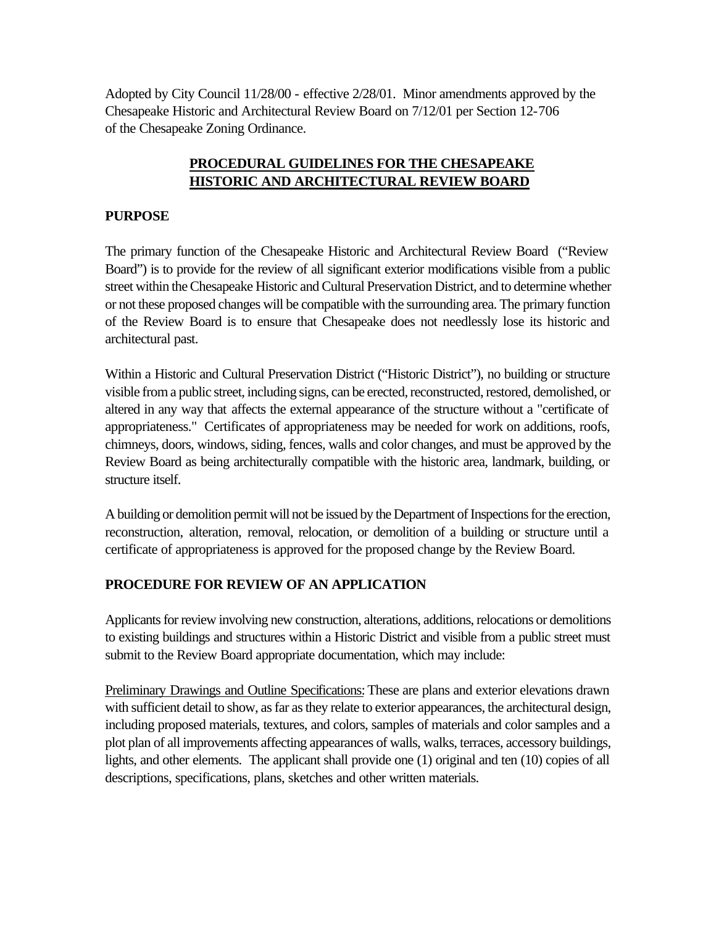Adopted by City Council 11/28/00 - effective 2/28/01. Minor amendments approved by the Chesapeake Historic and Architectural Review Board on 7/12/01 per Section 12-706 of the Chesapeake Zoning Ordinance.

## **PROCEDURAL GUIDELINES FOR THE CHESAPEAKE HISTORIC AND ARCHITECTURAL REVIEW BOARD**

### **PURPOSE**

The primary function of the Chesapeake Historic and Architectural Review Board ("Review Board") is to provide for the review of all significant exterior modifications visible from a public street within the Chesapeake Historic and Cultural Preservation District, and to determine whether or not these proposed changes will be compatible with the surrounding area. The primary function of the Review Board is to ensure that Chesapeake does not needlessly lose its historic and architectural past.

Within a Historic and Cultural Preservation District ("Historic District"), no building or structure visible from a public street, including signs, can be erected, reconstructed, restored, demolished, or altered in any way that affects the external appearance of the structure without a "certificate of appropriateness." Certificates of appropriateness may be needed for work on additions, roofs, chimneys, doors, windows, siding, fences, walls and color changes, and must be approved by the Review Board as being architecturally compatible with the historic area, landmark, building, or structure itself.

A building or demolition permit will not be issued by the Department of Inspections for the erection, reconstruction, alteration, removal, relocation, or demolition of a building or structure until a certificate of appropriateness is approved for the proposed change by the Review Board.

## **PROCEDURE FOR REVIEW OF AN APPLICATION**

Applicants for review involving new construction, alterations, additions, relocations or demolitions to existing buildings and structures within a Historic District and visible from a public street must submit to the Review Board appropriate documentation, which may include:

Preliminary Drawings and Outline Specifications: These are plans and exterior elevations drawn with sufficient detail to show, as far as they relate to exterior appearances, the architectural design, including proposed materials, textures, and colors, samples of materials and color samples and a plot plan of all improvements affecting appearances of walls, walks, terraces, accessory buildings, lights, and other elements. The applicant shall provide one (1) original and ten (10) copies of all descriptions, specifications, plans, sketches and other written materials.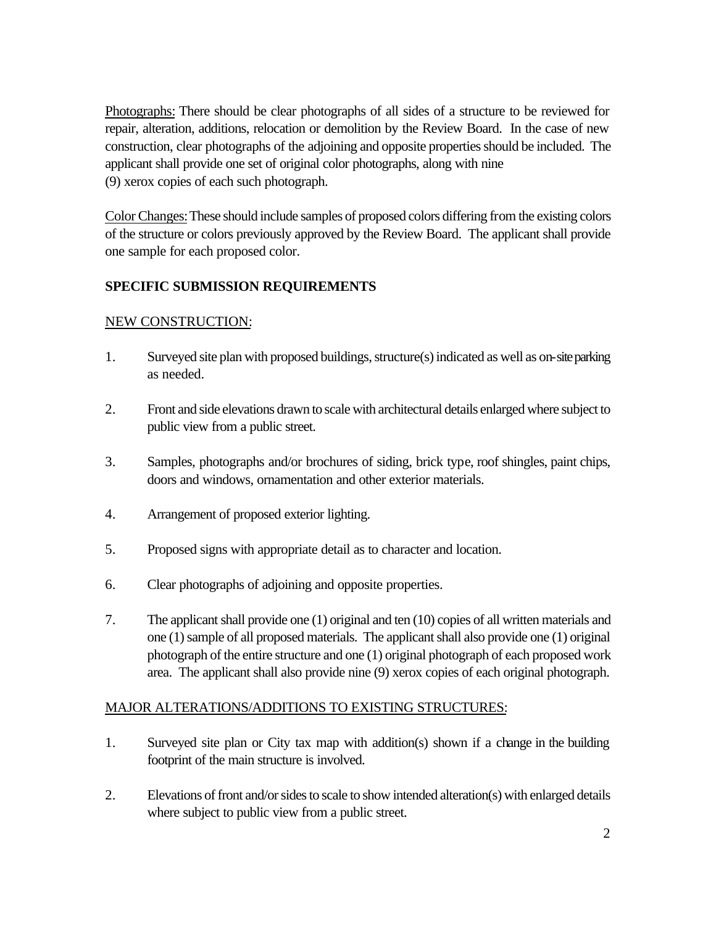Photographs: There should be clear photographs of all sides of a structure to be reviewed for repair, alteration, additions, relocation or demolition by the Review Board. In the case of new construction, clear photographs of the adjoining and opposite properties should be included. The applicant shall provide one set of original color photographs, along with nine (9) xerox copies of each such photograph.

Color Changes: These should include samples of proposed colors differing from the existing colors of the structure or colors previously approved by the Review Board. The applicant shall provide one sample for each proposed color.

# **SPECIFIC SUBMISSION REQUIREMENTS**

## NEW CONSTRUCTION:

- 1. Surveyed site plan with proposed buildings, structure(s) indicated as well as on-site parking as needed.
- 2. Front and side elevations drawn to scale with architectural details enlarged where subject to public view from a public street.
- 3. Samples, photographs and/or brochures of siding, brick type, roof shingles, paint chips, doors and windows, ornamentation and other exterior materials.
- 4. Arrangement of proposed exterior lighting.
- 5. Proposed signs with appropriate detail as to character and location.
- 6. Clear photographs of adjoining and opposite properties.
- 7. The applicant shall provide one (1) original and ten (10) copies of all written materials and one (1) sample of all proposed materials. The applicant shall also provide one (1) original photograph of the entire structure and one (1) original photograph of each proposed work area. The applicant shall also provide nine (9) xerox copies of each original photograph.

## MAJOR ALTERATIONS/ADDITIONS TO EXISTING STRUCTURES:

- 1. Surveyed site plan or City tax map with addition(s) shown if a change in the building footprint of the main structure is involved.
- 2. Elevations of front and/or sides to scale to show intended alteration(s) with enlarged details where subject to public view from a public street.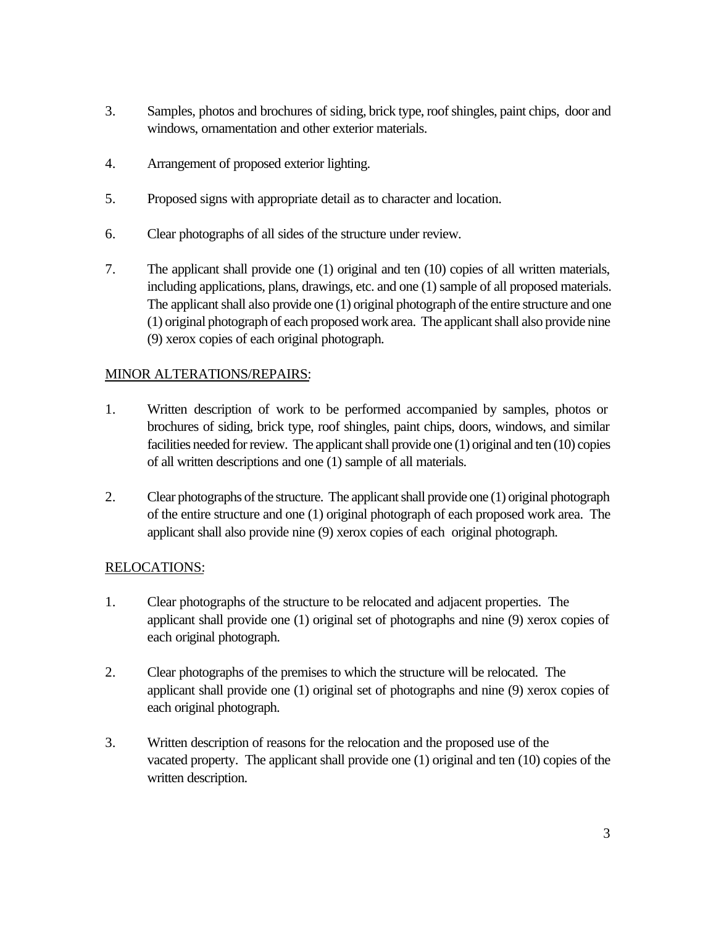- 3. Samples, photos and brochures of siding, brick type, roof shingles, paint chips, door and windows, ornamentation and other exterior materials.
- 4. Arrangement of proposed exterior lighting.
- 5. Proposed signs with appropriate detail as to character and location.
- 6. Clear photographs of all sides of the structure under review.
- 7. The applicant shall provide one (1) original and ten (10) copies of all written materials, including applications, plans, drawings, etc. and one (1) sample of all proposed materials. The applicant shall also provide one (1) original photograph of the entire structure and one (1) original photograph of each proposed work area. The applicant shall also provide nine (9) xerox copies of each original photograph.

#### MINOR ALTERATIONS/REPAIRS:

- 1. Written description of work to be performed accompanied by samples, photos or brochures of siding, brick type, roof shingles, paint chips, doors, windows, and similar facilities needed for review. The applicant shall provide one (1) original and ten (10) copies of all written descriptions and one (1) sample of all materials.
- 2. Clear photographs of the structure. The applicant shall provide one (1) original photograph of the entire structure and one (1) original photograph of each proposed work area. The applicant shall also provide nine (9) xerox copies of each original photograph.

#### RELOCATIONS:

- 1. Clear photographs of the structure to be relocated and adjacent properties. The applicant shall provide one (1) original set of photographs and nine (9) xerox copies of each original photograph.
- 2. Clear photographs of the premises to which the structure will be relocated. The applicant shall provide one (1) original set of photographs and nine (9) xerox copies of each original photograph.
- 3. Written description of reasons for the relocation and the proposed use of the vacated property. The applicant shall provide one (1) original and ten (10) copies of the written description.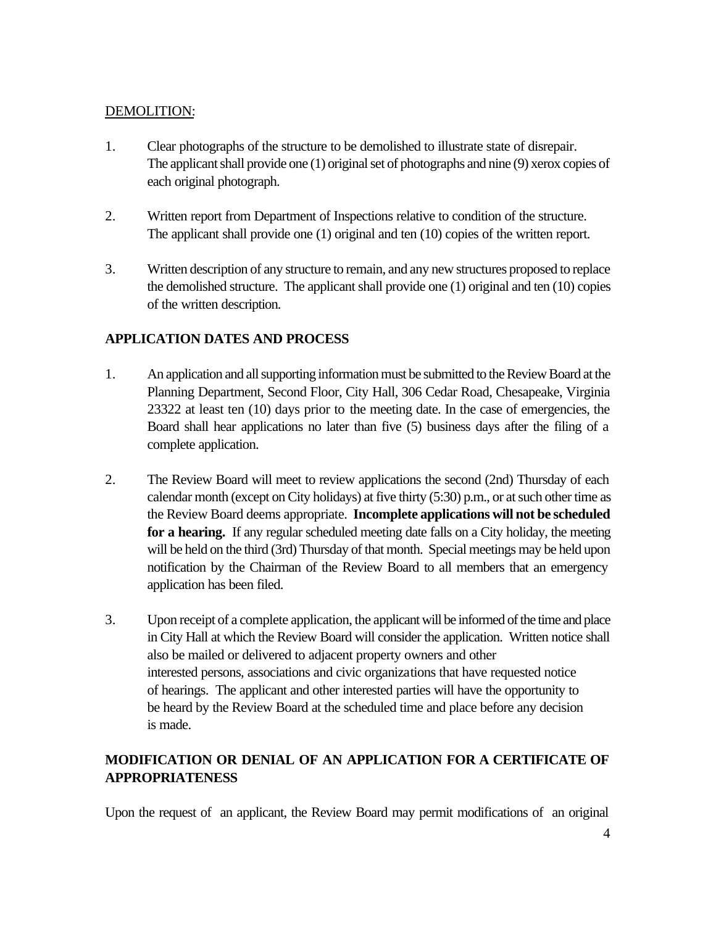#### DEMOLITION:

- 1. Clear photographs of the structure to be demolished to illustrate state of disrepair. The applicant shall provide one (1) original set of photographs and nine (9) xerox copies of each original photograph.
- 2. Written report from Department of Inspections relative to condition of the structure. The applicant shall provide one (1) original and ten (10) copies of the written report.
- 3. Written description of any structure to remain, and any new structures proposed to replace the demolished structure. The applicant shall provide one (1) original and ten (10) copies of the written description.

## **APPLICATION DATES AND PROCESS**

- 1. An application and all supporting information must be submitted to the Review Board at the Planning Department, Second Floor, City Hall, 306 Cedar Road, Chesapeake, Virginia 23322 at least ten (10) days prior to the meeting date. In the case of emergencies, the Board shall hear applications no later than five (5) business days after the filing of a complete application.
- 2. The Review Board will meet to review applications the second (2nd) Thursday of each calendar month (except on City holidays) at five thirty (5:30) p.m., or at such other time as the Review Board deems appropriate. **Incomplete applications will not be scheduled**  for a hearing. If any regular scheduled meeting date falls on a City holiday, the meeting will be held on the third (3rd) Thursday of that month. Special meetings may be held upon notification by the Chairman of the Review Board to all members that an emergency application has been filed.
- 3. Upon receipt of a complete application, the applicant will be informed of the time and place in City Hall at which the Review Board will consider the application. Written notice shall also be mailed or delivered to adjacent property owners and other interested persons, associations and civic organizations that have requested notice of hearings. The applicant and other interested parties will have the opportunity to be heard by the Review Board at the scheduled time and place before any decision is made.

# **MODIFICATION OR DENIAL OF AN APPLICATION FOR A CERTIFICATE OF APPROPRIATENESS**

Upon the request of an applicant, the Review Board may permit modifications of an original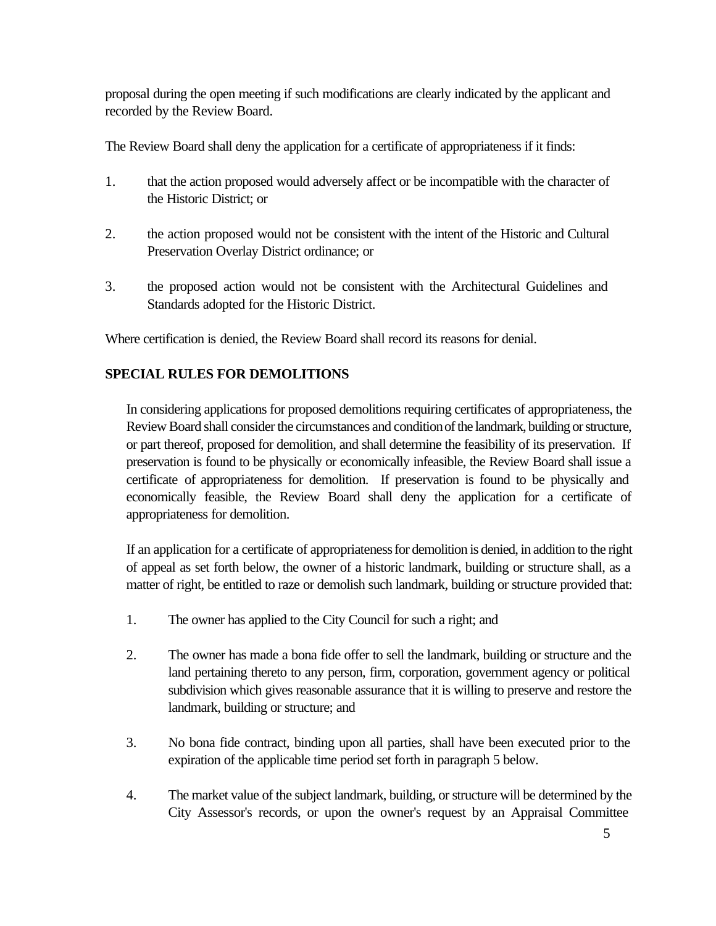proposal during the open meeting if such modifications are clearly indicated by the applicant and recorded by the Review Board.

The Review Board shall deny the application for a certificate of appropriateness if it finds:

- 1. that the action proposed would adversely affect or be incompatible with the character of the Historic District; or
- 2. the action proposed would not be consistent with the intent of the Historic and Cultural Preservation Overlay District ordinance; or
- 3. the proposed action would not be consistent with the Architectural Guidelines and Standards adopted for the Historic District.

Where certification is denied, the Review Board shall record its reasons for denial.

## **SPECIAL RULES FOR DEMOLITIONS**

In considering applications for proposed demolitions requiring certificates of appropriateness, the Review Board shall consider the circumstances and condition of the landmark, building or structure, or part thereof, proposed for demolition, and shall determine the feasibility of its preservation. If preservation is found to be physically or economically infeasible, the Review Board shall issue a certificate of appropriateness for demolition. If preservation is found to be physically and economically feasible, the Review Board shall deny the application for a certificate of appropriateness for demolition.

If an application for a certificate of appropriateness for demolition is denied, in addition to the right of appeal as set forth below, the owner of a historic landmark, building or structure shall, as a matter of right, be entitled to raze or demolish such landmark, building or structure provided that:

- 1. The owner has applied to the City Council for such a right; and
- 2. The owner has made a bona fide offer to sell the landmark, building or structure and the land pertaining thereto to any person, firm, corporation, government agency or political subdivision which gives reasonable assurance that it is willing to preserve and restore the landmark, building or structure; and
- 3. No bona fide contract, binding upon all parties, shall have been executed prior to the expiration of the applicable time period set forth in paragraph 5 below.
- 4. The market value of the subject landmark, building, or structure will be determined by the City Assessor's records, or upon the owner's request by an Appraisal Committee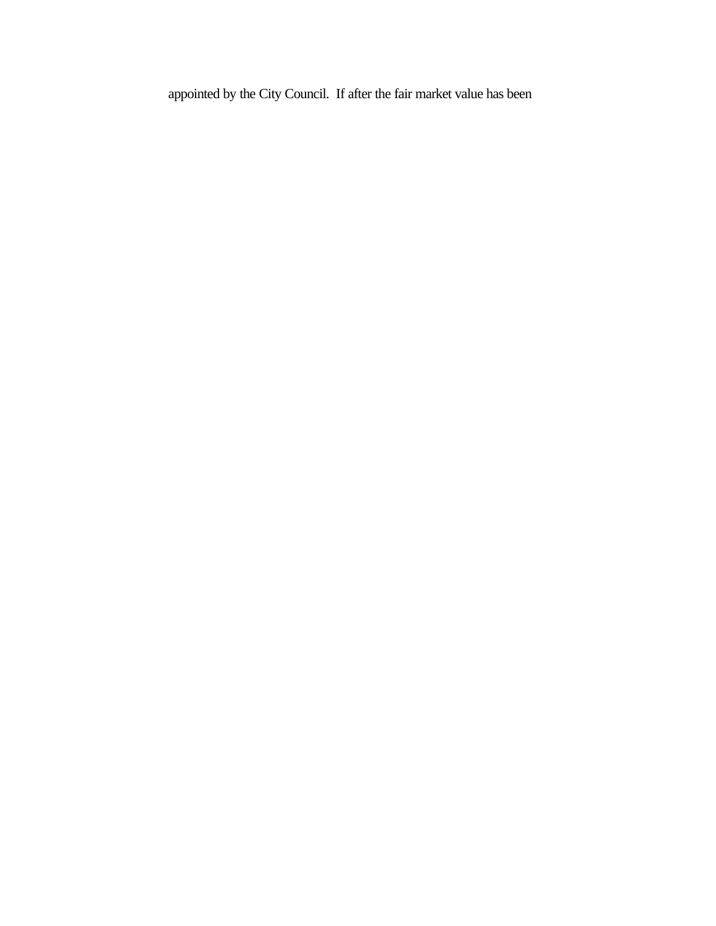appointed by the City Council. If after the fair market value has been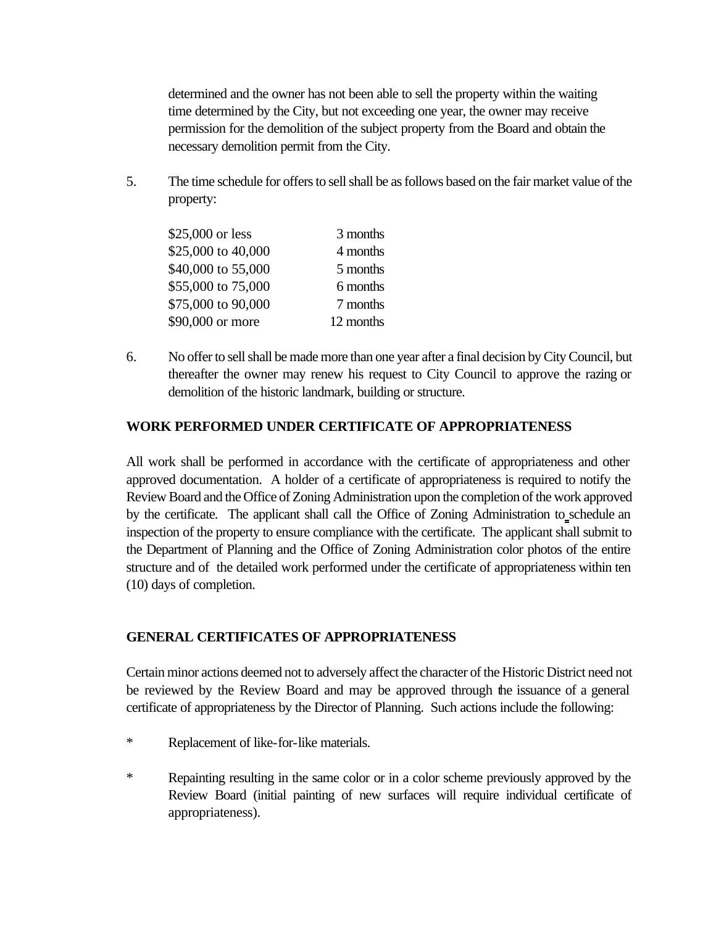determined and the owner has not been able to sell the property within the waiting time determined by the City, but not exceeding one year, the owner may receive permission for the demolition of the subject property from the Board and obtain the necessary demolition permit from the City.

5. The time schedule for offers to sell shall be as follows based on the fair market value of the property:

| \$25,000 or less   | 3 months  |
|--------------------|-----------|
| \$25,000 to 40,000 | 4 months  |
| \$40,000 to 55,000 | 5 months  |
| \$55,000 to 75,000 | 6 months  |
| \$75,000 to 90,000 | 7 months  |
| \$90,000 or more   | 12 months |

6. No offer to sell shall be made more than one year after a final decision by City Council, but thereafter the owner may renew his request to City Council to approve the razing or demolition of the historic landmark, building or structure.

#### **WORK PERFORMED UNDER CERTIFICATE OF APPROPRIATENESS**

All work shall be performed in accordance with the certificate of appropriateness and other approved documentation. A holder of a certificate of appropriateness is required to notify the Review Board and the Office of Zoning Administration upon the completion of the work approved by the certificate. The applicant shall call the Office of Zoning Administration to schedule an inspection of the property to ensure compliance with the certificate. The applicant shall submit to the Department of Planning and the Office of Zoning Administration color photos of the entire structure and of the detailed work performed under the certificate of appropriateness within ten (10) days of completion.

#### **GENERAL CERTIFICATES OF APPROPRIATENESS**

Certain minor actions deemed not to adversely affect the character of the Historic District need not be reviewed by the Review Board and may be approved through the issuance of a general certificate of appropriateness by the Director of Planning. Such actions include the following:

- \* Replacement of like-for-like materials.
- \* Repainting resulting in the same color or in a color scheme previously approved by the Review Board (initial painting of new surfaces will require individual certificate of appropriateness).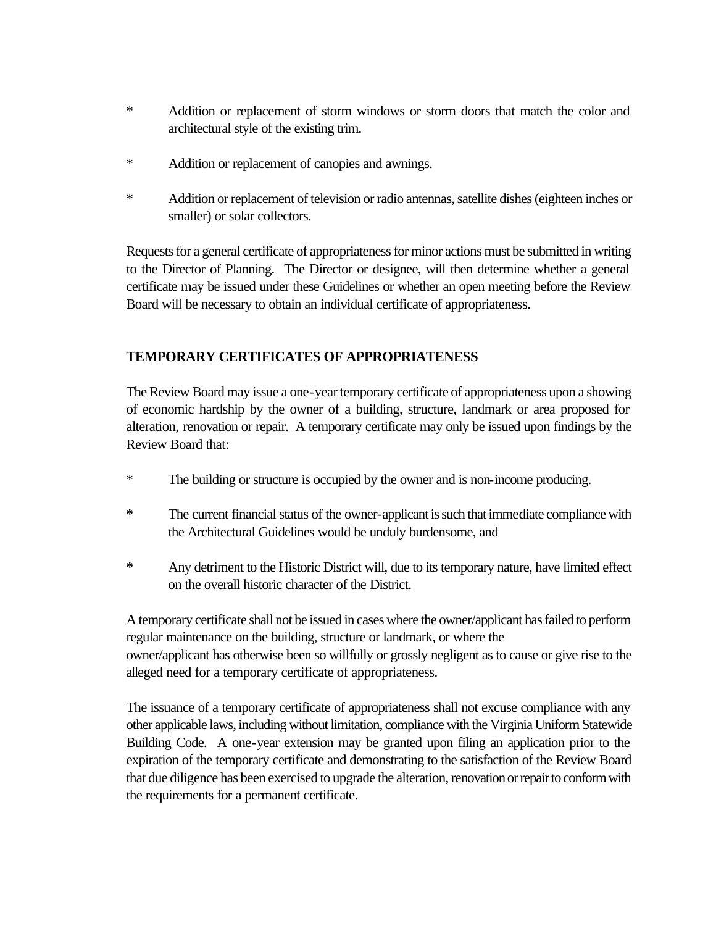- \* Addition or replacement of storm windows or storm doors that match the color and architectural style of the existing trim.
- \* Addition or replacement of canopies and awnings.
- \* Addition or replacement of television or radio antennas, satellite dishes (eighteen inches or smaller) or solar collectors.

Requests for a general certificate of appropriateness for minor actions must be submitted in writing to the Director of Planning. The Director or designee, will then determine whether a general certificate may be issued under these Guidelines or whether an open meeting before the Review Board will be necessary to obtain an individual certificate of appropriateness.

## **TEMPORARY CERTIFICATES OF APPROPRIATENESS**

The Review Board may issue a one-year temporary certificate of appropriateness upon a showing of economic hardship by the owner of a building, structure, landmark or area proposed for alteration, renovation or repair. A temporary certificate may only be issued upon findings by the Review Board that:

- \* The building or structure is occupied by the owner and is non-income producing.
- **\*** The current financial status of the owner-applicant is such that immediate compliance with the Architectural Guidelines would be unduly burdensome, and
- **\*** Any detriment to the Historic District will, due to its temporary nature, have limited effect on the overall historic character of the District.

A temporary certificate shall not be issued in cases where the owner/applicant has failed to perform regular maintenance on the building, structure or landmark, or where the owner/applicant has otherwise been so willfully or grossly negligent as to cause or give rise to the alleged need for a temporary certificate of appropriateness.

The issuance of a temporary certificate of appropriateness shall not excuse compliance with any other applicable laws, including without limitation, compliance with the Virginia Uniform Statewide Building Code. A one-year extension may be granted upon filing an application prior to the expiration of the temporary certificate and demonstrating to the satisfaction of the Review Board that due diligence has been exercised to upgrade the alteration, renovation or repair to conform with the requirements for a permanent certificate.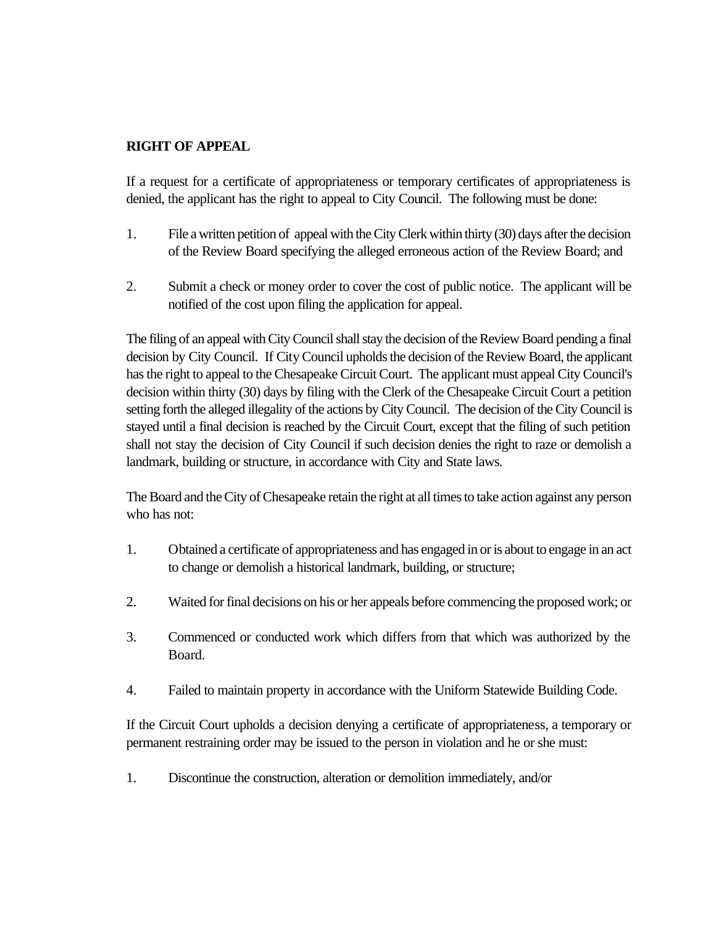#### **RIGHT OF APPEAL**

If a request for a certificate of appropriateness or temporary certificates of appropriateness is denied, the applicant has the right to appeal to City Council. The following must be done:

- 1. File a written petition of appeal with the City Clerk within thirty (30) days after the decision of the Review Board specifying the alleged erroneous action of the Review Board; and
- 2. Submit a check or money order to cover the cost of public notice. The applicant will be notified of the cost upon filing the application for appeal.

The filing of an appeal with City Council shall stay the decision of the Review Board pending a final decision by City Council. If City Council upholds the decision of the Review Board, the applicant has the right to appeal to the Chesapeake Circuit Court. The applicant must appeal City Council's decision within thirty (30) days by filing with the Clerk of the Chesapeake Circuit Court a petition setting forth the alleged illegality of the actions by City Council. The decision of the City Council is stayed until a final decision is reached by the Circuit Court, except that the filing of such petition shall not stay the decision of City Council if such decision denies the right to raze or demolish a landmark, building or structure, in accordance with City and State laws.

The Board and the City of Chesapeake retain the right at all times to take action against any person who has not:

- 1. Obtained a certificate of appropriateness and has engaged in or is about to engage in an act to change or demolish a historical landmark, building, or structure;
- 2. Waited for final decisions on his or her appeals before commencing the proposed work; or
- 3. Commenced or conducted work which differs from that which was authorized by the Board.
- 4. Failed to maintain property in accordance with the Uniform Statewide Building Code.

If the Circuit Court upholds a decision denying a certificate of appropriateness, a temporary or permanent restraining order may be issued to the person in violation and he or she must:

1. Discontinue the construction, alteration or demolition immediately, and/or